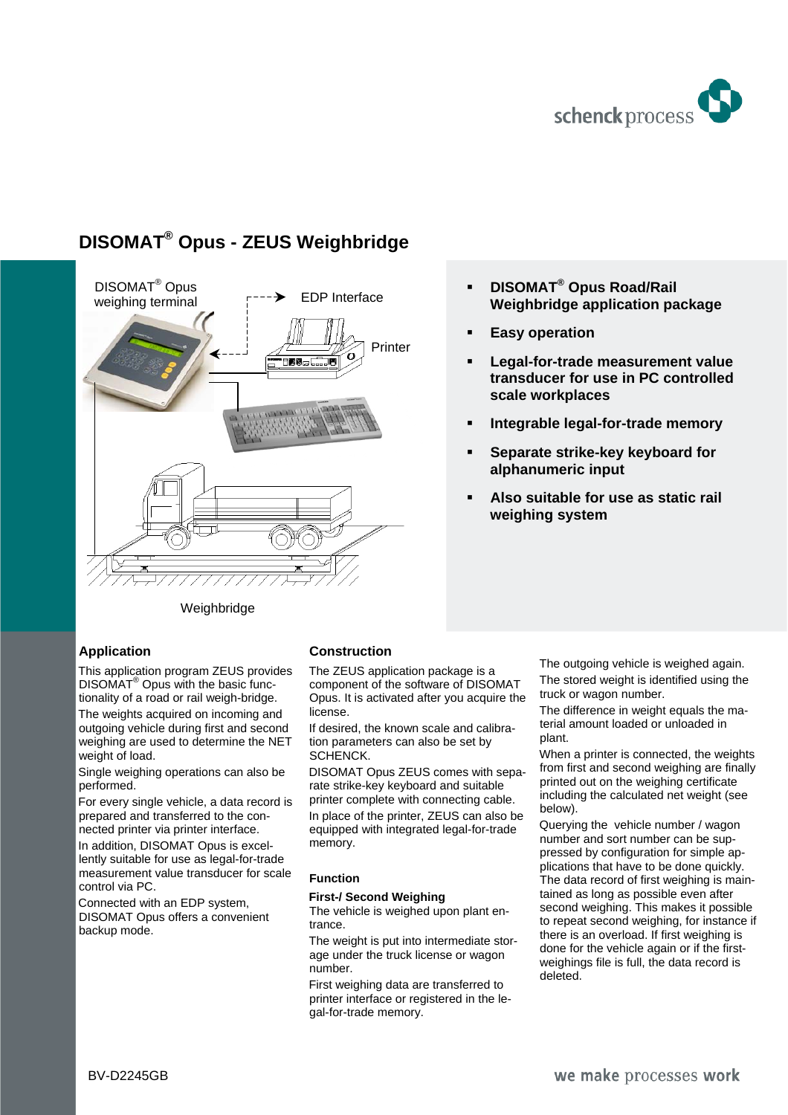

## **DISOMAT® Opus - ZEUS Weighbridge**



#### **DISOMAT® Opus Road/Rail Weighbridge application package**

- **Easy operation**
- **Legal-for-trade measurement value transducer for use in PC controlled scale workplaces**
- **Integrable legal-for-trade memory**
- **Separate strike-key keyboard for alphanumeric input**
- **Also suitable for use as static rail weighing system**

### Weighbridge

#### **Application**

This application program ZEUS provides DISOMAT® Opus with the basic functionality of a road or rail weigh-bridge.

The weights acquired on incoming and outgoing vehicle during first and second weighing are used to determine the NET weight of load.

Single weighing operations can also be performed.

For every single vehicle, a data record is prepared and transferred to the connected printer via printer interface. In addition, DISOMAT Opus is excellently suitable for use as legal-for-trade measurement value transducer for scale

control via PC. Connected with an EDP system, DISOMAT Opus offers a convenient

# backup mode.

#### **Construction**

The ZEUS application package is a component of the software of DISOMAT Opus. It is activated after you acquire the license.

If desired, the known scale and calibration parameters can also be set by SCHENCK.

DISOMAT Opus ZEUS comes with separate strike-key keyboard and suitable printer complete with connecting cable.

In place of the printer, ZEUS can also be equipped with integrated legal-for-trade memory.

#### **Function**

#### **First-/ Second Weighing**

The vehicle is weighed upon plant entrance.

The weight is put into intermediate storage under the truck license or wagon number.

First weighing data are transferred to printer interface or registered in the legal-for-trade memory.

The outgoing vehicle is weighed again. The stored weight is identified using the truck or wagon number.

The difference in weight equals the material amount loaded or unloaded in plant.

When a printer is connected, the weights from first and second weighing are finally printed out on the weighing certificate including the calculated net weight (see below).

Querying the vehicle number / wagon number and sort number can be suppressed by configuration for simple applications that have to be done quickly. The data record of first weighing is maintained as long as possible even after second weighing. This makes it possible to repeat second weighing, for instance if there is an overload. If first weighing is done for the vehicle again or if the firstweighings file is full, the data record is deleted.